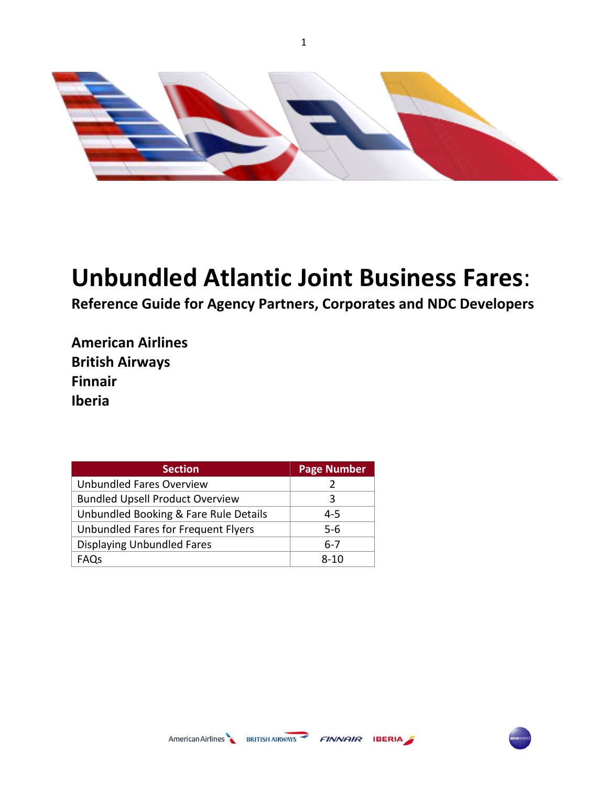

1

# **Unbundled Atlantic Joint Business Fares**:

**Reference Guide for Agency Partners, Corporates and NDC Developers** 

**American Airlines British Airways Finnair Iberia**

| <b>Section</b>                         | <b>Page Number</b> |
|----------------------------------------|--------------------|
| Unbundled Fares Overview               |                    |
| <b>Bundled Upsell Product Overview</b> | 3                  |
| Unbundled Booking & Fare Rule Details  | 4-5                |
| Unbundled Fares for Frequent Flyers    | $5 - 6$            |
| <b>Displaying Unbundled Fares</b>      | 6-7                |
| FAQs                                   | ጸ-10               |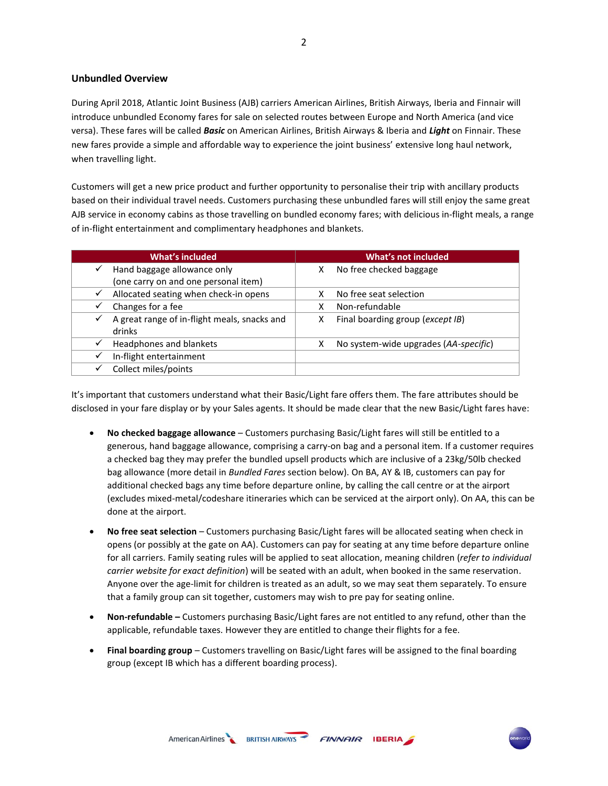# **Unbundled Overview**

During April 2018, Atlantic Joint Business (AJB) carriers American Airlines, British Airways, Iberia and Finnair will introduce unbundled Economy fares for sale on selected routes between Europe and North America (and vice versa). These fares will be called *Basic* on American Airlines, British Airways & Iberia and *Light* on Finnair. These new fares provide a simple and affordable way to experience the joint business' extensive long haul network, when travelling light.

Customers will get a new price product and further opportunity to personalise their trip with ancillary products based on their individual travel needs. Customers purchasing these unbundled fares will still enjoy the same great AJB service in economy cabins as those travelling on bundled economy fares; with delicious in-flight meals, a range of in-flight entertainment and complimentary headphones and blankets.

| <b>What's included</b>                                                 | What's not included                        |
|------------------------------------------------------------------------|--------------------------------------------|
| Hand baggage allowance only<br>$\checkmark$                            | No free checked baggage<br>x               |
| (one carry on and one personal item)                                   |                                            |
| Allocated seating when check-in opens<br>✓                             | No free seat selection                     |
| Changes for a fee                                                      | Non-refundable                             |
| A great range of in-flight meals, snacks and<br>$\checkmark$<br>drinks | Final boarding group (except IB)<br>х      |
| Headphones and blankets<br>$\checkmark$                                | No system-wide upgrades (AA-specific)<br>х |
| In-flight entertainment                                                |                                            |
| Collect miles/points                                                   |                                            |

It's important that customers understand what their Basic/Light fare offers them. The fare attributes should be disclosed in your fare display or by your Sales agents. It should be made clear that the new Basic/Light fares have:

- **No checked baggage allowance** Customers purchasing Basic/Light fares will still be entitled to a generous, hand baggage allowance, comprising a carry-on bag and a personal item. If a customer requires a checked bag they may prefer the bundled upsell products which are inclusive of a 23kg/50lb checked bag allowance (more detail in *Bundled Fares* section below). On BA, AY & IB, customers can pay for additional checked bags any time before departure online, by calling the call centre or at the airport (excludes mixed-metal/codeshare itineraries which can be serviced at the airport only). On AA, this can be done at the airport.
- **No free seat selection** Customers purchasing Basic/Light fares will be allocated seating when check in opens (or possibly at the gate on AA). Customers can pay for seating at any time before departure online for all carriers. Family seating rules will be applied to seat allocation, meaning children (*refer to individual carrier website for exact definition*) will be seated with an adult, when booked in the same reservation. Anyone over the age-limit for children is treated as an adult, so we may seat them separately. To ensure that a family group can sit together, customers may wish to pre pay for seating online.
- **Non-refundable –** Customers purchasing Basic/Light fares are not entitled to any refund, other than the applicable, refundable taxes. However they are entitled to change their flights for a fee.
- **Final boarding group** Customers travelling on Basic/Light fares will be assigned to the final boarding group (except IB which has a different boarding process).

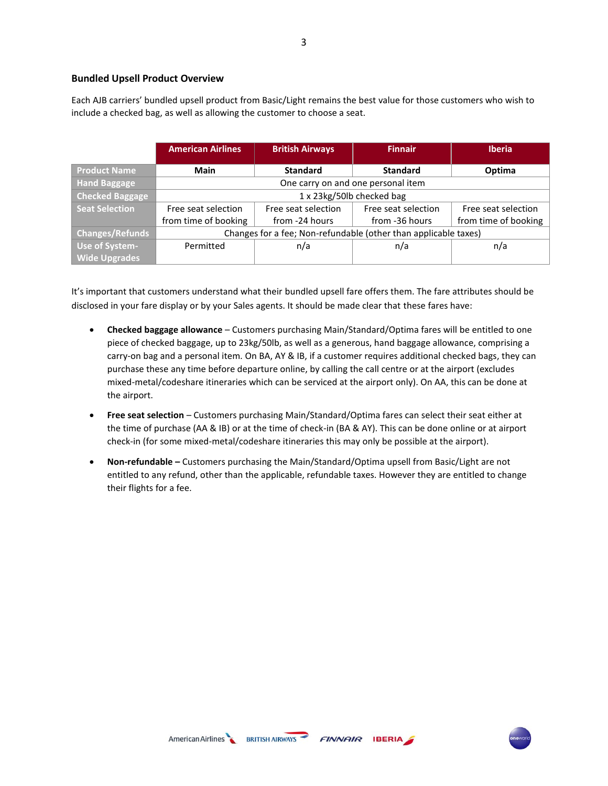# **Bundled Upsell Product Overview**

Each AJB carriers' bundled upsell product from Basic/Light remains the best value for those customers who wish to include a checked bag, as well as allowing the customer to choose a seat.

|                        | <b>American Airlines</b>                                        | <b>British Airways</b>             | <b>Finnair</b>      | <b>Iberia</b>        |  |  |  |  |
|------------------------|-----------------------------------------------------------------|------------------------------------|---------------------|----------------------|--|--|--|--|
| <b>Product Name</b>    | <b>Main</b>                                                     | <b>Standard</b>                    | Optima              |                      |  |  |  |  |
| <b>Hand Baggage</b>    |                                                                 | One carry on and one personal item |                     |                      |  |  |  |  |
| <b>Checked Baggage</b> | 1 x 23kg/50lb checked bag                                       |                                    |                     |                      |  |  |  |  |
| Seat Selection         | Free seat selection                                             | Free seat selection                | Free seat selection | Free seat selection  |  |  |  |  |
|                        | from time of booking                                            | from -24 hours<br>from -36 hours   |                     | from time of booking |  |  |  |  |
| <b>Changes/Refunds</b> | Changes for a fee; Non-refundable (other than applicable taxes) |                                    |                     |                      |  |  |  |  |
| Use of System-         | Permitted                                                       | n/a                                | n/a                 | n/a                  |  |  |  |  |
| <b>Wide Upgrades</b>   |                                                                 |                                    |                     |                      |  |  |  |  |

It's important that customers understand what their bundled upsell fare offers them. The fare attributes should be disclosed in your fare display or by your Sales agents. It should be made clear that these fares have:

- **Checked baggage allowance** Customers purchasing Main/Standard/Optima fares will be entitled to one piece of checked baggage, up to 23kg/50lb, as well as a generous, hand baggage allowance, comprising a carry-on bag and a personal item. On BA, AY & IB, if a customer requires additional checked bags, they can purchase these any time before departure online, by calling the call centre or at the airport (excludes mixed-metal/codeshare itineraries which can be serviced at the airport only). On AA, this can be done at the airport.
- **Free seat selection** Customers purchasing Main/Standard/Optima fares can select their seat either at the time of purchase (AA & IB) or at the time of check-in (BA & AY). This can be done online or at airport check-in (for some mixed-metal/codeshare itineraries this may only be possible at the airport).
- **Non-refundable –** Customers purchasing the Main/Standard/Optima upsell from Basic/Light are not entitled to any refund, other than the applicable, refundable taxes. However they are entitled to change their flights for a fee.

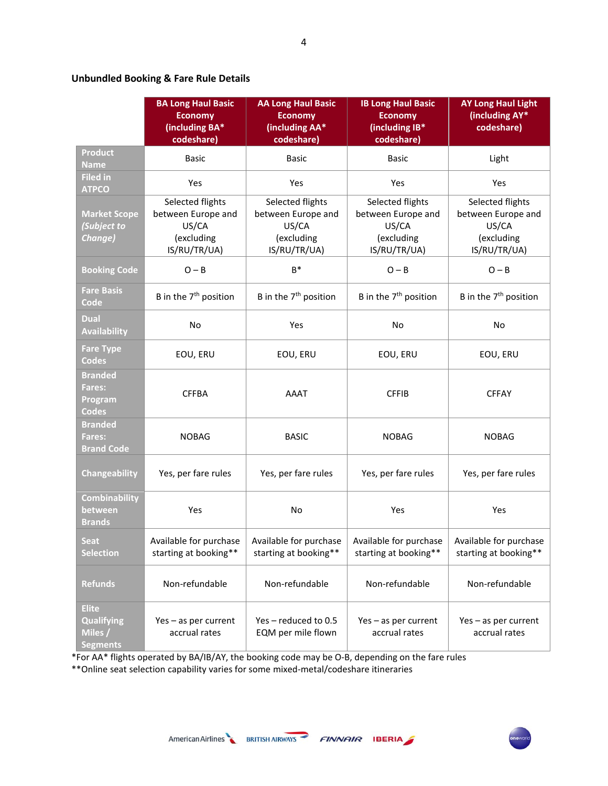# **Unbundled Booking & Fare Rule Details**

|                                                                 | <b>BA Long Haul Basic</b><br><b>Economy</b><br>(including BA*<br>codeshare)   | <b>AA Long Haul Basic</b><br><b>Economy</b><br>(including AA*<br>codeshare)   | <b>IB Long Haul Basic</b><br><b>Economy</b><br>(including IB*<br>codeshare)   | <b>AY Long Haul Light</b><br>(including AY*<br>codeshare)                     |  |
|-----------------------------------------------------------------|-------------------------------------------------------------------------------|-------------------------------------------------------------------------------|-------------------------------------------------------------------------------|-------------------------------------------------------------------------------|--|
| <b>Product</b><br><b>Name</b>                                   | <b>Basic</b>                                                                  | <b>Basic</b>                                                                  | <b>Basic</b>                                                                  | Light                                                                         |  |
| <b>Filed in</b><br><b>ATPCO</b>                                 | Yes                                                                           | Yes                                                                           | Yes                                                                           | Yes                                                                           |  |
| <b>Market Scope</b><br>(Subject to<br>Change)                   | Selected flights<br>between Europe and<br>US/CA<br>(excluding<br>IS/RU/TR/UA) | Selected flights<br>between Europe and<br>US/CA<br>(excluding<br>IS/RU/TR/UA) | Selected flights<br>between Europe and<br>US/CA<br>(excluding<br>IS/RU/TR/UA) | Selected flights<br>between Europe and<br>US/CA<br>(excluding<br>IS/RU/TR/UA) |  |
| <b>Booking Code</b>                                             | $O - B$                                                                       | $B^*$                                                                         | $O - B$                                                                       | $O - B$                                                                       |  |
| <b>Fare Basis</b><br>Code                                       | B in the 7 <sup>th</sup> position                                             | B in the 7 <sup>th</sup> position                                             | B in the 7 <sup>th</sup> position                                             | B in the 7 <sup>th</sup> position                                             |  |
| Dual<br><b>Availability</b>                                     | <b>No</b>                                                                     | Yes                                                                           | No                                                                            | No                                                                            |  |
| <b>Fare Type</b><br><b>Codes</b>                                | EOU, ERU                                                                      | EOU, ERU                                                                      | EOU, ERU                                                                      | EOU, ERU                                                                      |  |
| <b>Branded</b><br><b>Fares:</b><br>Program<br><b>Codes</b>      | <b>CFFBA</b>                                                                  | AAAT                                                                          | <b>CFFIB</b>                                                                  | <b>CFFAY</b>                                                                  |  |
| <b>Branded</b><br><b>Fares:</b><br><b>Brand Code</b>            | <b>NOBAG</b>                                                                  | <b>BASIC</b>                                                                  | <b>NOBAG</b>                                                                  | <b>NOBAG</b>                                                                  |  |
| Changeability                                                   | Yes, per fare rules                                                           | Yes, per fare rules                                                           | Yes, per fare rules                                                           | Yes, per fare rules                                                           |  |
| <b>Combinability</b><br>between<br><b>Brands</b>                | Yes                                                                           | No                                                                            | Yes                                                                           | Yes                                                                           |  |
| <b>Seat</b><br><b>Selection</b>                                 | Available for purchase<br>starting at booking**                               | Available for purchase<br>starting at booking**                               | Available for purchase<br>starting at booking**                               | Available for purchase<br>starting at booking**                               |  |
| <b>Refunds</b>                                                  | Non-refundable                                                                | Non-refundable                                                                | Non-refundable                                                                | Non-refundable                                                                |  |
| <b>Elite</b><br><b>Qualifying</b><br>Miles /<br><b>Segments</b> | Yes - as per current<br>accrual rates                                         | Yes-reduced to 0.5<br>EQM per mile flown                                      | Yes - as per current<br>accrual rates                                         | Yes - as per current<br>accrual rates                                         |  |

\*For AA\* flights operated by BA/IB/AY, the booking code may be O-B, depending on the fare rules

\*\*Online seat selection capability varies for some mixed-metal/codeshare itineraries

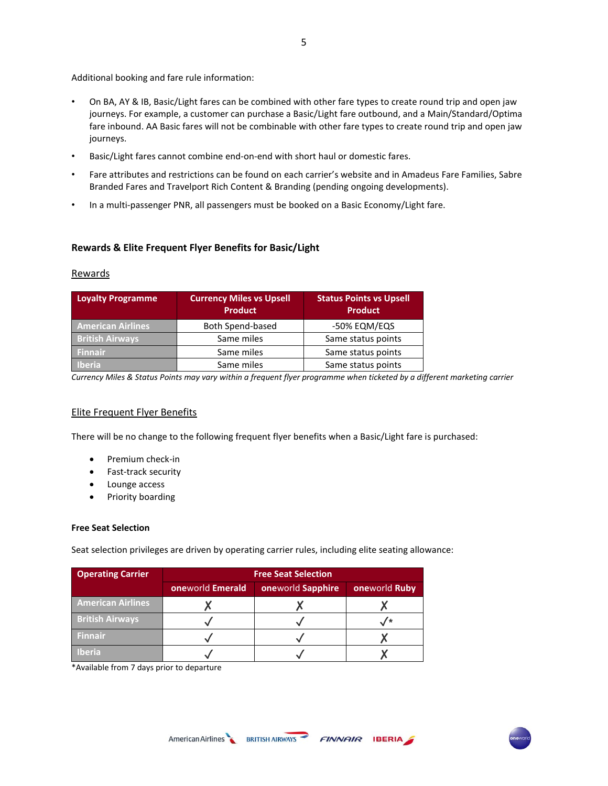Additional booking and fare rule information:

- On BA, AY & IB, Basic/Light fares can be combined with other fare types to create round trip and open jaw journeys. For example, a customer can purchase a Basic/Light fare outbound, and a Main/Standard/Optima fare inbound. AA Basic fares will not be combinable with other fare types to create round trip and open jaw journeys.
- Basic/Light fares cannot combine end-on-end with short haul or domestic fares.
- Fare attributes and restrictions can be found on each carrier's website and in Amadeus Fare Families, Sabre Branded Fares and Travelport Rich Content & Branding (pending ongoing developments).
- In a multi-passenger PNR, all passengers must be booked on a Basic Economy/Light fare.

# **Rewards & Elite Frequent Flyer Benefits for Basic/Light**

# **Rewards**

| <b>Loyalty Programme</b> | <b>Currency Miles vs Upsell</b><br><b>Product</b> | <b>Status Points vs Upsell</b><br><b>Product</b> |
|--------------------------|---------------------------------------------------|--------------------------------------------------|
| <b>American Airlines</b> | Both Spend-based                                  | -50% EQM/EQS                                     |
| <b>British Airways</b>   | Same miles                                        | Same status points                               |
| <b>Finnair</b>           | Same miles                                        | Same status points                               |
| Iberia                   | Same miles                                        | Same status points                               |

*Currency Miles & Status Points may vary within a frequent flyer programme when ticketed by a different marketing carrier*

# Elite Frequent Flyer Benefits

There will be no change to the following frequent flyer benefits when a Basic/Light fare is purchased:

- Premium check-in
- Fast-track security
- Lounge access
- Priority boarding

## **Free Seat Selection**

Seat selection privileges are driven by operating carrier rules, including elite seating allowance:

| <b>Operating Carrier</b> | <b>Free Seat Selection</b> |                   |               |  |  |  |  |  |
|--------------------------|----------------------------|-------------------|---------------|--|--|--|--|--|
|                          | oneworld Emerald           | oneworld Sapphire | oneworld Ruby |  |  |  |  |  |
| <b>American Airlines</b> |                            |                   |               |  |  |  |  |  |
| <b>British Airways</b>   |                            |                   |               |  |  |  |  |  |
| <b>Finnair</b>           |                            |                   |               |  |  |  |  |  |
| <b>Iberia</b>            |                            |                   |               |  |  |  |  |  |

\*Available from 7 days prior to departure

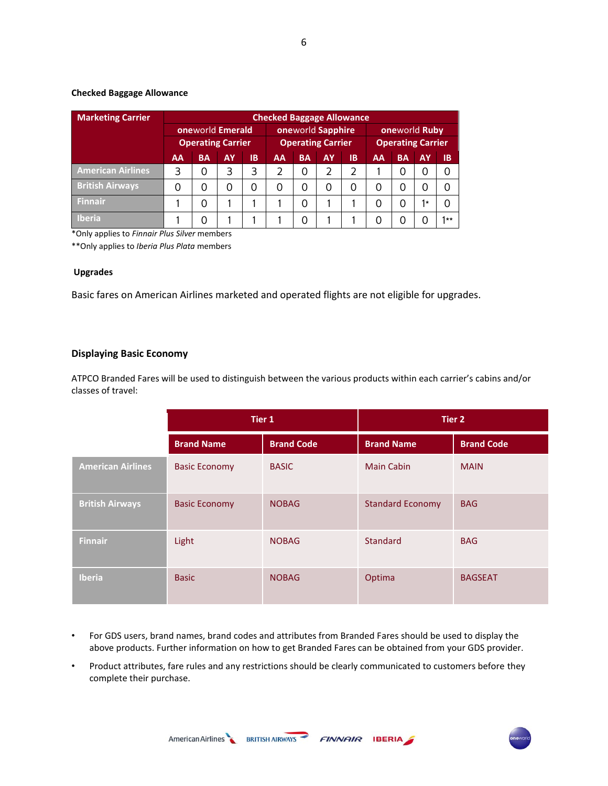# **Checked Baggage Allowance**

| <b>Marketing Carrier</b> | <b>Checked Baggage Allowance</b> |           |           |                          |    |           |                          |           |    |           |           |           |
|--------------------------|----------------------------------|-----------|-----------|--------------------------|----|-----------|--------------------------|-----------|----|-----------|-----------|-----------|
|                          | oneworld Emerald                 |           |           | oneworld Sapphire        |    |           | oneworld Ruby            |           |    |           |           |           |
|                          | <b>Operating Carrier</b>         |           |           | <b>Operating Carrier</b> |    |           | <b>Operating Carrier</b> |           |    |           |           |           |
|                          | AA                               | <b>BA</b> | <b>AY</b> | <b>IB</b>                | AA | <b>BA</b> | AY                       | <b>IB</b> | AA | <b>BA</b> | <b>AY</b> | <b>IB</b> |
| <b>American Airlines</b> | 3                                | 0         | 3         | 3                        | 2  | O         | 2                        |           |    | Ω         | 0         |           |
| <b>British Airways</b>   |                                  | Ω         | 0         | 0                        | 0  | Ω         | 0                        | 0         |    | 0         | 0         |           |
| <b>Finnair</b>           |                                  | Ω         |           |                          |    |           |                          |           |    | 0         | $1*$      |           |
| <b>Iberia</b>            |                                  |           |           |                          |    |           |                          |           |    |           |           | $1**$     |

\*Only applies to *Finnair Plus Silver* members

\*\*Only applies to *Iberia Plus Plata* members

# **Upgrades**

Basic fares on American Airlines marketed and operated flights are not eligible for upgrades.

# **Displaying Basic Economy**

ATPCO Branded Fares will be used to distinguish between the various products within each carrier's cabins and/or classes of travel:

|                          |                      | Tier 1            | <b>Tier 2</b>           |                   |  |  |
|--------------------------|----------------------|-------------------|-------------------------|-------------------|--|--|
|                          | <b>Brand Name</b>    | <b>Brand Code</b> | <b>Brand Name</b>       | <b>Brand Code</b> |  |  |
| <b>American Airlines</b> | <b>Basic Economy</b> | <b>BASIC</b>      | <b>Main Cabin</b>       | <b>MAIN</b>       |  |  |
| <b>British Airways</b>   | <b>Basic Economy</b> | <b>NOBAG</b>      | <b>Standard Economy</b> | <b>BAG</b>        |  |  |
| <b>Finnair</b>           | Light                | <b>NOBAG</b>      | <b>Standard</b>         | <b>BAG</b>        |  |  |
| <b>Iberia</b>            | <b>Basic</b>         | <b>NOBAG</b>      | Optima                  | <b>BAGSEAT</b>    |  |  |

- For GDS users, brand names, brand codes and attributes from Branded Fares should be used to display the above products. Further information on how to get Branded Fares can be obtained from your GDS provider.
- Product attributes, fare rules and any restrictions should be clearly communicated to customers before they complete their purchase.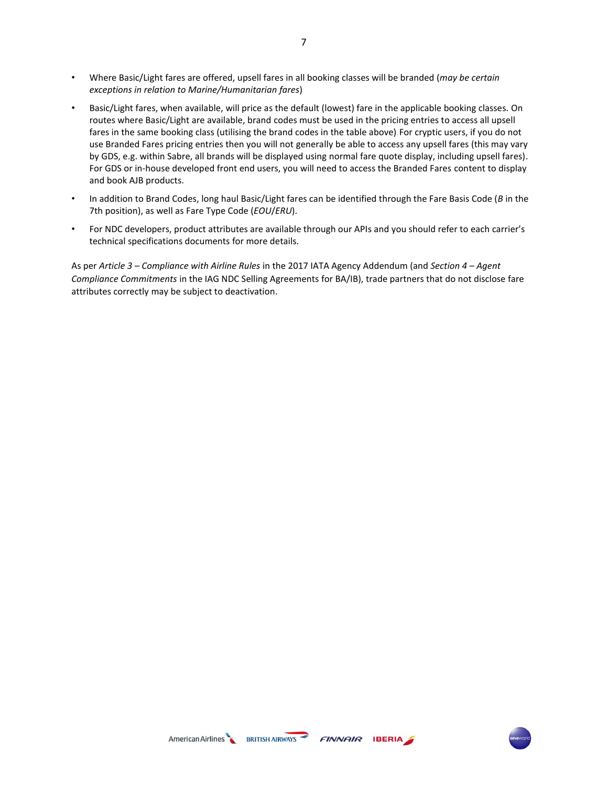- Where Basic/Light fares are offered, upsell fares in all booking classes will be branded (*may be certain exceptions in relation to Marine/Humanitarian fares*)
- Basic/Light fares, when available, will price as the default (lowest) fare in the applicable booking classes. On routes where Basic/Light are available, brand codes must be used in the pricing entries to access all upsell fares in the same booking class (utilising the brand codes in the table above). For cryptic users, if you do not use Branded Fares pricing entries then you will not generally be able to access any upsell fares (this may vary by GDS, e.g. within Sabre, all brands will be displayed using normal fare quote display, including upsell fares). For GDS or in-house developed front end users, you will need to access the Branded Fares content to display and book AJB products.
- In addition to Brand Codes, long haul Basic/Light fares can be identified through the Fare Basis Code (*B* in the 7th position), as well as Fare Type Code (*EOU*/*ERU*).
- For NDC developers, product attributes are available through our APIs and you should refer to each carrier's technical specifications documents for more details.

As per *Article 3 – Compliance with Airline Rules* in the 2017 IATA Agency Addendum (and *Section 4 – Agent Compliance Commitments* in the IAG NDC Selling Agreements for BA/IB), trade partners that do not disclose fare attributes correctly may be subject to deactivation.

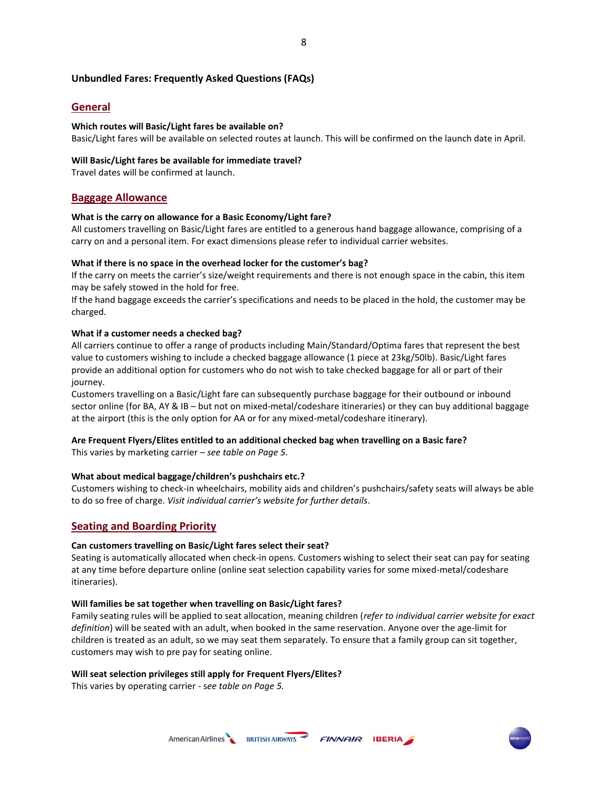## **Unbundled Fares: Frequently Asked Questions (FAQs)**

## **General**

## **Which routes will Basic/Light fares be available on?**

Basic/Light fares will be available on selected routes at launch. This will be confirmed on the launch date in April.

## **Will Basic/Light fares be available for immediate travel?**

Travel dates will be confirmed at launch.

## **Baggage Allowance**

## **What is the carry on allowance for a Basic Economy/Light fare?**

All customers travelling on Basic/Light fares are entitled to a generous hand baggage allowance, comprising of a carry on and a personal item. For exact dimensions please refer to individual carrier websites.

#### **What if there is no space in the overhead locker for the customer's bag?**

If the carry on meets the carrier's size/weight requirements and there is not enough space in the cabin, this item may be safely stowed in the hold for free.

If the hand baggage exceeds the carrier's specifications and needs to be placed in the hold, the customer may be charged.

## **What if a customer needs a checked bag?**

All carriers continue to offer a range of products including Main/Standard/Optima fares that represent the best value to customers wishing to include a checked baggage allowance (1 piece at 23kg/50lb). Basic/Light fares provide an additional option for customers who do not wish to take checked baggage for all or part of their journey.

Customers travelling on a Basic/Light fare can subsequently purchase baggage for their outbound or inbound sector online (for BA, AY & IB – but not on mixed-metal/codeshare itineraries) or they can buy additional baggage at the airport (this is the only option for AA or for any mixed-metal/codeshare itinerary).

## **Are Frequent Flyers/Elites entitled to an additional checked bag when travelling on a Basic fare?**

This varies by marketing carrier – *see table on Page 5.*

### **What about medical baggage/children's pushchairs etc.?**

Customers wishing to check-in wheelchairs, mobility aids and children's pushchairs/safety seats will always be able to do so free of charge. *Visit individual carrier's website for further details*.

# **Seating and Boarding Priority**

## **Can customers travelling on Basic/Light fares select their seat?**

Seating is automatically allocated when check-in opens. Customers wishing to select their seat can pay for seating at any time before departure online (online seat selection capability varies for some mixed-metal/codeshare itineraries).

#### **Will families be sat together when travelling on Basic/Light fares?**

Family seating rules will be applied to seat allocation, meaning children (*refer to individual carrier website for exact definition*) will be seated with an adult, when booked in the same reservation. Anyone over the age-limit for children is treated as an adult, so we may seat them separately. To ensure that a family group can sit together, customers may wish to pre pay for seating online.

#### **Will seat selection privileges still apply for Frequent Flyers/Elites?**

This varies by operating carrier - s*ee table on Page 5.*

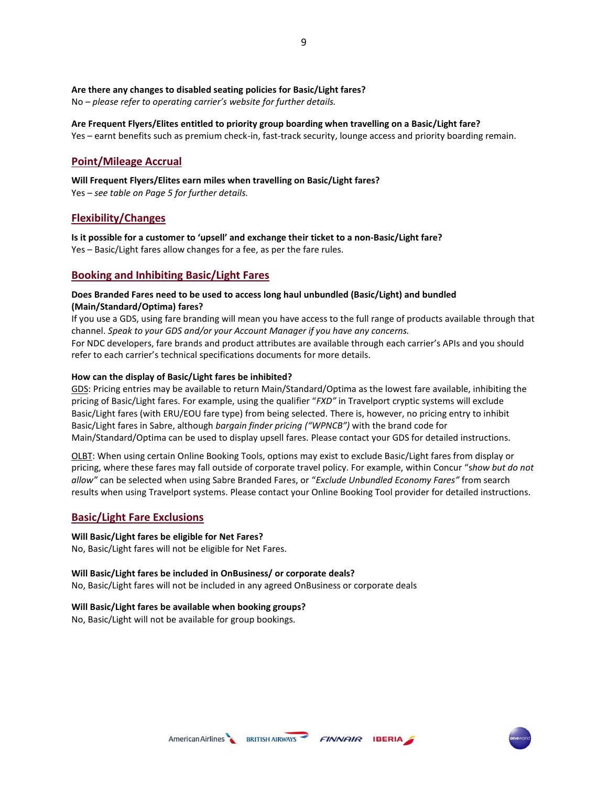## **Are there any changes to disabled seating policies for Basic/Light fares?**

No – *please refer to operating carrier's website for further details.*

## **Are Frequent Flyers/Elites entitled to priority group boarding when travelling on a Basic/Light fare?**

Yes – earnt benefits such as premium check-in, fast-track security, lounge access and priority boarding remain.

# **Point/Mileage Accrual**

**Will Frequent Flyers/Elites earn miles when travelling on Basic/Light fares?**  Yes – *see table on Page 5 for further details.*

# **Flexibility/Changes**

**Is it possible for a customer to 'upsell' and exchange their ticket to a non-Basic/Light fare?** Yes – Basic/Light fares allow changes for a fee, as per the fare rules.

# **Booking and Inhibiting Basic/Light Fares**

## **Does Branded Fares need to be used to access long haul unbundled (Basic/Light) and bundled (Main/Standard/Optima) fares?**

If you use a GDS, using fare branding will mean you have access to the full range of products available through that channel. *Speak to your GDS and/or your Account Manager if you have any concerns.* For NDC developers, fare brands and product attributes are available through each carrier's APIs and you should refer to each carrier's technical specifications documents for more details.

#### **How can the display of Basic/Light fares be inhibited?**

GDS: Pricing entries may be available to return Main/Standard/Optima as the lowest fare available, inhibiting the pricing of Basic/Light fares. For example, using the qualifier "*FXD"* in Travelport cryptic systems will exclude Basic/Light fares (with ERU/EOU fare type) from being selected. There is, however, no pricing entry to inhibit Basic/Light fares in Sabre, although *bargain finder pricing ("WPNCB")* with the brand code for Main/Standard/Optima can be used to display upsell fares. Please contact your GDS for detailed instructions.

OLBT: When using certain Online Booking Tools, options may exist to exclude Basic/Light fares from display or pricing, where these fares may fall outside of corporate travel policy. For example, within Concur "s*how but do not allow"* can be selected when using Sabre Branded Fares, or "*Exclude Unbundled Economy Fares"* from search results when using Travelport systems. Please contact your Online Booking Tool provider for detailed instructions.

## **Basic/Light Fare Exclusions**

## **Will Basic/Light fares be eligible for Net Fares?**

No, Basic/Light fares will not be eligible for Net Fares.

## **Will Basic/Light fares be included in OnBusiness/ or corporate deals?**

No, Basic/Light fares will not be included in any agreed OnBusiness or corporate deals

#### **Will Basic/Light fares be available when booking groups?**

No, Basic/Light will not be available for group bookings.